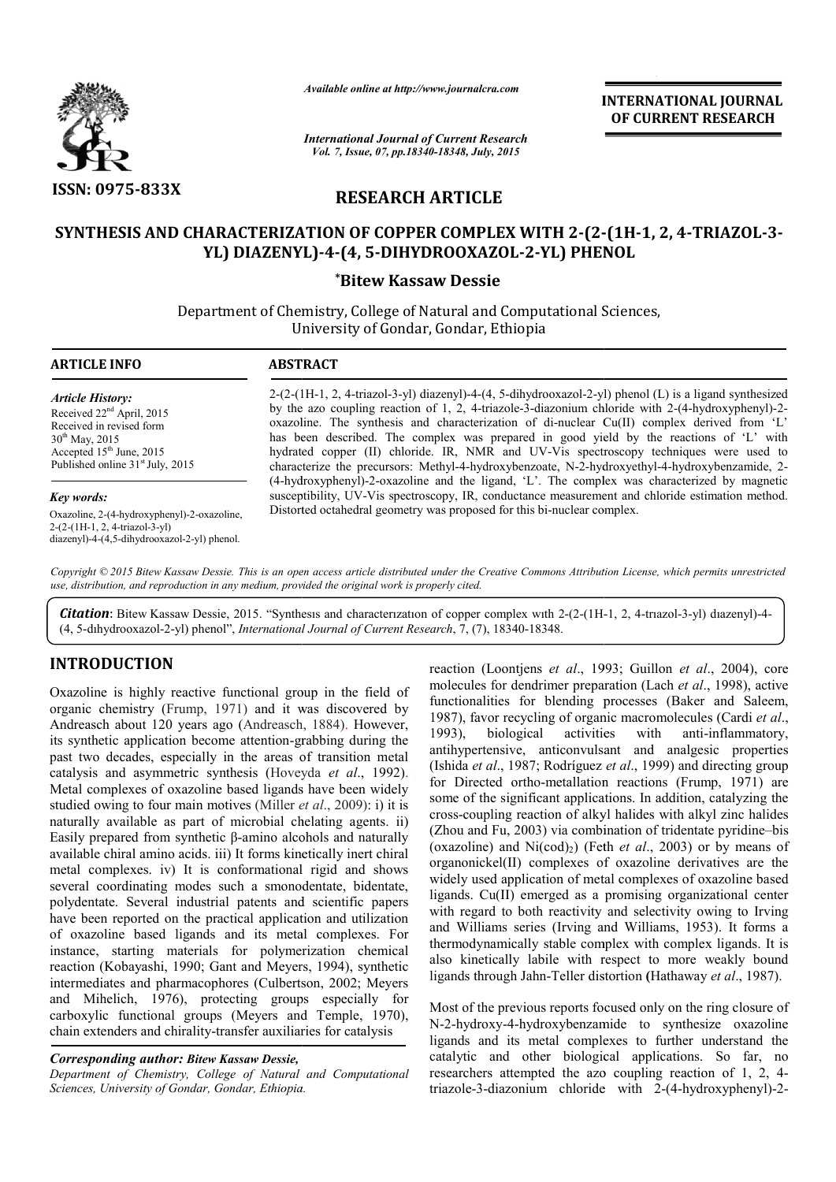

*Available online at http://www.journalcra.com*

*International Journal of Current Research Vol. 7, Issue, 07, pp.18340-18348, July, 2015*

INTERNATIONAL INTERNATIONAL JOURNAL OF CURRENT RESEARCH

# RESEARCH ARTICLE

# SYNTHESIS AND CHARACTERIZATION OF COPPER COMPLEX WITH 2-(2-(1H-1, 2, 4-TRIAZOL-3-YL) DIAZENYL) DIAZENYL)-4-(4, 5-DIHYDROOXAZOL-2-YL) PHENOL YL)

\*Bitew Kassaw Dessie

Department of Chemistry, College of Natural and Computational Sciences, University of Gondar, Gondar, Ethiopia

1

# ARTICLE INFO ABSTRACT

*Article History:* Received 22nd April, 2015 Received in revised form  $30^{th}$  May, 2015 Accepted 15<sup>th</sup> June, 2015 Published online 31<sup>st</sup> July, 2015

# *Key words:*

Oxazoline, 2-(4-hydroxyphenyl)-2-oxazoline, 2-(2-(1H-1, 2, 4-triazol-3-yl) diazenyl)-4-(4,5-dihydrooxazol-2-yl) phenol.

2-(2-(1H (1H-1, 2, 4-triazol-3-yl) diazenyl)-4-(4, 5-dihydrooxazol-2-yl) phenol (L) is a ligand synthesized 2-(2-(1H-1, 2, 4-triazol-3-yl) diazenyl)-4-(4, 5-dihydrooxazol-2-yl) phenol (L) is a ligand synthesized<br>by the azo coupling reaction of 1, 2, 4-triazole-3-diazonium chloride with 2-(4-hydroxyphenyl)-2oxazoline. The synthesis and characterization of di-nuclear  $Cu(II)$  complex derived from 'L' has been described. The complex was prepared in good yield by the reactions of 'L' with hydrated copper (II) chloride. IR, NMR and UV-Vis spectroscopy techniques were used to hydrated copper (II) chloride. IR, NMR and UV-Vis spectroscopy techniques were used to characterize the precursors: Methyl-4-hydroxybenzoate, N-2-hydroxyethyl-4-hydroxybenzamide, 2-(4-hydroxyphenyl)-2-oxazoline and the ligand, 'L'. The complex was characterized by magnetic susceptibility, UV-Vis spectroscopy, IR, conductance measurement and chloride estimation method. Distorted octahedral geometry wa susceptibility, UV-Vis spectroscopy, IR, conductance measurement and chloride estimation method. Distorted octahedral geometry was proposed for this bi-nuclear complex.

Copyright © 2015 Bitew Kassaw Dessie. This is an open access article distributed under the Creative Commons Attribution License, which permits unrestrictea *use, distribution, and reproduction in any medium, provided the original work is properly cited.*

Citation: Bitew Kassaw Dessie, 2015. "Synthesis and characterization of copper complex with 2-(2-(1H-1, 2, 4-triazol-3-yl) diazenyl)-4-(4, 5-dıhydrooxazol-2-yl) phenol", *International Journal of Current Research* , 7, (7), 18340-18348.

# INTRODUCTION

Oxazoline is highly reactive functional group in the field of organic chemistry (Frump, 1971) and it was discovered by Andreasch about 120 years ago (Andreasch, 1884) Andreasch, 1884). However, its synthetic application become attention-grabbing during the past two decades, especially in the areas of transition metal its synthetic application become attention-grabbing during the<br>past two decades, especially in the areas of transition metal<br>catalysis and asymmetric synthesis (Hoveyda *et al.*, 1992). Metal complexes of oxazoline based ligands have been widely studied owing to four main motives (Miller *et al.*, 2009): i) it is naturally available as part of microbial chelating agents. ii) Easily prepared from synthetic β-amino alcohols and naturally available chiral amino acids. iii) It forms kinetically inert chiral metal complexes. iv) It is conformational rigid and shows several coordinating modes such a smonodentate, bidentate, polydentate. Several industrial patents and scientific papers have been reported on the practical application and utilization of oxazoline based ligands and its metal complexes. For instance, starting materials for polymerization chemical Easily prepared from synthetic  $\beta$ -amino alcohols and naturally available chiral amino acids. iii) It forms kinetically inert chiral metal complexes. iv) It is conformational rigid and shows several coordinating modes su intermediates and pharmacophores (Culbertson, 2002; Meyers and Mihelich, 1976), protecting groups especially for and Mihelich, 1976), protecting groups especially for carboxylic functional groups (Meyers and Temple, 1970), chain extenders and chirality-transfer auxiliaries for catalysis

# *Corresponding author: Bitew Kassaw Dessie,*

*Department of Chemistry, College of Natural and Computational Sciences, University of Gondar, Gondar, Ethiopia Ethiopia.*

reaction (Loontjens *et al*., 1993; Guillon *et al*., 2004), core molecules for dendrimer preparation ( (Lach *et al*., 1998), active functionalities for blending processes (Baker and Saleem, 1987), favor recycling of organic macromolecules (Cardi et al., 1993), biological activities with antihypertensive, anticonvulsant and analgesic properties (Ishida *et al*., 1987; Rodríguez *et al*., 1999) and directing group for Directed ortho-metallation reactions (Frump, 1971) are some of the significant applications. In addition, catalyzing the cross-coupling reaction of alkyl halides with alkyl zinc halides (Zhou and Fu, 2003) via combination of tridentate pyridine-bis (oxazoline) and  $Ni(cod)_2$ ) (Feth *et al.*, 2003) or by means of organonickel(II) complexes of oxazoline derivatives are the organonickel(II) complexes of oxazoline derivatives are the widely used application of metal complexes of oxazoline based ligands. Cu(II) emerged as a promising organizational center with regard to both reactivity and selectivity owing to Irving and Williams series (Irving and Williams, 1953) thermodynamically stable complex with complex ligands. ligands. It is also kinetically labile with respect to more weakly bound also kinetically labile with respect to more weakly bound ligands through Jahn-Teller distortion (Hathaway *et al.*, 1987). anti-inflammatory. II) emerged as a promising organizational center<br>to both reactivity and selectivity owing to Irving<br>s series (Irving and Williams, 1953). It forms a

Most of the previous reports focused only on the ring closure of N-2-hydroxy-4-hydroxybenzamide to synthesize oxazoline N-2-hydroxy-4-hydroxybenzamide to synthesize oxazoline ligands and its metal complexes to further understand the catalytic and other biological applications. So far, no catalytic and other biological applications. So far, no<br>researchers attempted the azo coupling reaction of 1, 2, 4triazole-3-diazonium chloride with 2-(4-hydroxyphenyl)-2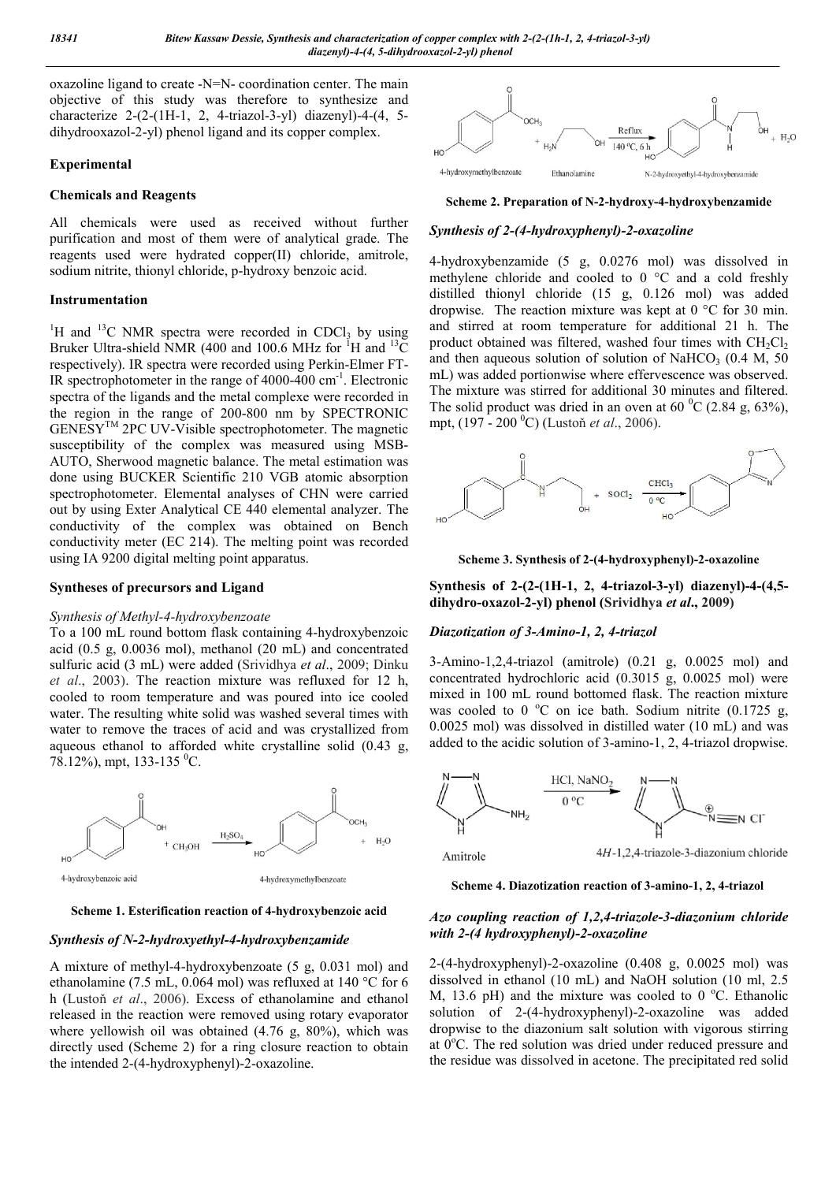oxazoline ligand to create -N=N- coordination center. The main objective of this study was therefore to synthesize and characterize 2-(2-(1H-1, 2, 4-triazol-3-yl) diazenyl)-4-(4, 5 dihydrooxazol-2-yl) phenol ligand and its copper complex.

# Experimental

# Chemicals and Reagents

All chemicals were used as received without further purification and most of them were of analytical grade. The reagents used were hydrated copper(II) chloride, amitrole, sodium nitrite, thionyl chloride, p-hydroxy benzoic acid.

# Instrumentation

<sup>1</sup>H and <sup>13</sup>C NMR spectra were recorded in CDCl<sub>3</sub> by using Bruker Ultra-shield NMR (400 and 100.6 MHz for  ${}^{1}$ H and  ${}^{13}$ C respectively). IR spectra were recorded using Perkin-Elmer FT-IR spectrophotometer in the range of 4000-400 cm<sup>-1</sup>. Electronic spectra of the ligands and the metal complexe were recorded in the region in the range of 200-800 nm by SPECTRONIC GENESYTM 2PC UV-Visible spectrophotometer. The magnetic susceptibility of the complex was measured using MSB-AUTO, Sherwood magnetic balance. The metal estimation was done using BUCKER Scientific 210 VGB atomic absorption spectrophotometer. Elemental analyses of CHN were carried out by using Exter Analytical CE 440 elemental analyzer. The conductivity of the complex was obtained on Bench conductivity meter (EC 214). The melting point was recorded using IA 9200 digital melting point apparatus.

### Syntheses of precursors and Ligand

### *Synthesis of Methyl-4-hydroxybenzoate*

To a 100 mL round bottom flask containing 4-hydroxybenzoic acid (0.5 g, 0.0036 mol), methanol (20 mL) and concentrated sulfuric acid (3 mL) were added (Srividhya *et al*., 2009; Dinku *et al*., 2003). The reaction mixture was refluxed for 12 h, cooled to room temperature and was poured into ice cooled water. The resulting white solid was washed several times with water to remove the traces of acid and was crystallized from aqueous ethanol to afforded white crystalline solid (0.43 g, 78.12%), mpt, 133-135 <sup>o</sup>C.



Scheme 1. Esterification reaction of 4-hydroxybenzoic acid

## *Synthesis of N-2-hydroxyethyl-4-hydroxybenzamide*

A mixture of methyl-4-hydroxybenzoate (5 g, 0.031 mol) and ethanolamine (7.5 mL, 0.064 mol) was refluxed at 140 °C for 6 h (Lustoň *et al*., 2006). Excess of ethanolamine and ethanol released in the reaction were removed using rotary evaporator where yellowish oil was obtained (4.76 g, 80%), which was directly used (Scheme 2) for a ring closure reaction to obtain the intended 2-(4-hydroxyphenyl)-2-oxazoline.



Scheme 2. Preparation of N-2-hydroxy-4-hydroxybenzamide

## *Synthesis of 2-(4-hydroxyphenyl)-2-oxazoline*

4-hydroxybenzamide (5 g, 0.0276 mol) was dissolved in methylene chloride and cooled to 0 °C and a cold freshly distilled thionyl chloride (15 g, 0.126 mol) was added dropwise. The reaction mixture was kept at 0 °C for 30 min. and stirred at room temperature for additional 21 h. The product obtained was filtered, washed four times with  $CH_2Cl_2$ and then aqueous solution of solution of NaHCO<sub>3</sub> (0.4 M, 50) mL) was added portionwise where effervescence was observed. The mixture was stirred for additional 30 minutes and filtered. The solid product was dried in an oven at 60  $^{\circ}$ C (2.84 g, 63%), mpt, (197 - 200 <sup>0</sup> C) (Lustoň *et al*., 2006).



Scheme 3. Synthesis of 2-(4-hydroxyphenyl)-2-oxazoline

Synthesis of 2-(2-(1H-1, 2, 4-triazol-3-yl) diazenyl)-4-(4,5 dihydro-oxazol-2-yl) phenol (Srividhya *et al*., 2009)

### *Diazotization of 3-Amino-1, 2, 4-triazol*

3-Amino-1,2,4-triazol (amitrole) (0.21 g, 0.0025 mol) and concentrated hydrochloric acid (0.3015 g, 0.0025 mol) were mixed in 100 mL round bottomed flask. The reaction mixture was cooled to 0  $^{\circ}$ C on ice bath. Sodium nitrite (0.1725 g, 0.0025 mol) was dissolved in distilled water (10 mL) and was added to the acidic solution of 3-amino-1, 2, 4-triazol dropwise.



Scheme 4. Diazotization reaction of 3-amino-1, 2, 4-triazol

# *Azo coupling reaction of 1,2,4-triazole-3-diazonium chloride with 2-(4 hydroxyphenyl)-2-oxazoline*

2-(4-hydroxyphenyl)-2-oxazoline (0.408 g, 0.0025 mol) was dissolved in ethanol (10 mL) and NaOH solution (10 ml, 2.5 M, 13.6 pH) and the mixture was cooled to  $0^{\circ}$ C. Ethanolic solution of 2-(4-hydroxyphenyl)-2-oxazoline was added dropwise to the diazonium salt solution with vigorous stirring at  $0^{\circ}$ C. The red solution was dried under reduced pressure and the residue was dissolved in acetone. The precipitated red solid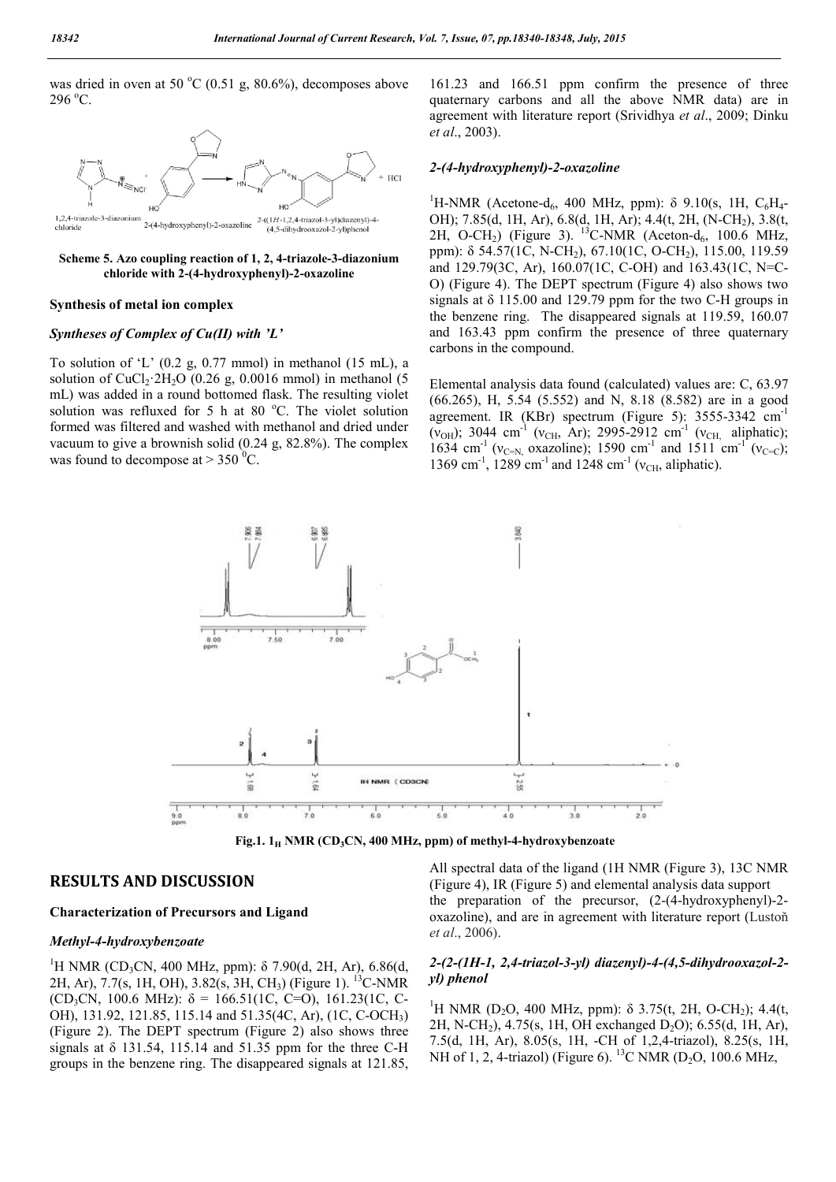was dried in oven at 50  $^{\circ}$ C (0.51 g, 80.6%), decomposes above  $296 °C$ .





#### Synthesis of metal ion complex

### *Syntheses of Complex of Cu(II) with 'L'*

To solution of 'L'  $(0.2 \text{ g}, 0.77 \text{ mmol})$  in methanol  $(15 \text{ mL})$ , a solution of CuCl<sub>2</sub>·2H<sub>2</sub>O (0.26 g, 0.0016 mmol) in methanol (5 mL) was added in a round bottomed flask. The resulting violet solution was refluxed for 5 h at 80 °C. The violet solution formed was filtered and washed with methanol and dried under vacuum to give a brownish solid (0.24 g, 82.8%). The complex was found to decompose at  $>$  350 <sup>0</sup>C.

161.23 and 166.51 ppm confirm the presence of three quaternary carbons and all the above NMR data) are in agreement with literature report (Srividhya *et al*., 2009; Dinku *et al*., 2003).

## *2-(4-hydroxyphenyl)-2-oxazoline*

<sup>1</sup>H-NMR (Acetone-d<sub>6</sub>, 400 MHz, ppm): δ 9.10(s, 1H, C<sub>6</sub>H<sub>4</sub>-OH); 7.85(d, 1H, Ar), 6.8(d, 1H, Ar); 4.4(t, 2H, (N-CH2), 3.8(t, 2H, O-CH<sub>2</sub>) (Figure 3). <sup>13</sup>C-NMR (Aceton-d<sub>6</sub>, 100.6 MHz, ppm): δ 54.57(1C, N-CH<sub>2</sub>), 67.10(1C, O-CH<sub>2</sub>), 115.00, 119.59 and 129.79(3C, Ar), 160.07(1C, C-OH) and 163.43(1C, N=C-O) (Figure 4). The DEPT spectrum (Figure 4) also shows two signals at δ 115.00 and 129.79 ppm for the two C-H groups in the benzene ring. The disappeared signals at 119.59, 160.07 and 163.43 ppm confirm the presence of three quaternary carbons in the compound.

Elemental analysis data found (calculated) values are: C, 63.97 (66.265), H, 5.54 (5.552) and N, 8.18 (8.582) are in a good agreement. IR (KBr) spectrum (Figure 5): 3555-3342 cm-1 ( $v_{OH}$ ); 3044 cm<sup>-1</sup> ( $v_{CH}$ , Ar); 2995-2912 cm<sup>-1</sup> ( $v_{CH}$ , aliphatic); 1634 cm<sup>-1</sup> ( $v_{C=N}$ , oxazoline); 1590 cm<sup>-1</sup> and 1511 cm<sup>-1</sup> ( $v_{C=C}$ ); 1369 cm<sup>-1</sup>, 1289 cm<sup>-1</sup> and 1248 cm<sup>-1</sup> ( $v_{\text{CH}}$ , aliphatic).



Fig.1.  $1_H$  NMR (CD<sub>3</sub>CN, 400 MHz, ppm) of methyl-4-hydroxybenzoate

# RESULTS AND DISCUSSION

### Characterization of Precursors and Ligand

## *Methyl-4-hydroxybenzoate*

<sup>1</sup>H NMR (CD<sub>3</sub>CN, 400 MHz, ppm): δ 7.90(d, 2H, Ar), 6.86(d, 2H, Ar), 7.7(s, 1H, OH), 3.82(s, 3H, CH3) (Figure 1). 13C-NMR (CD<sub>3</sub>CN, 100.6 MHz):  $\delta = 166.51(1C, C=0)$ , 161.23(1C, C-OH), 131.92, 121.85, 115.14 and 51.35(4C, Ar), (1C, C-OCH3) (Figure 2). The DEPT spectrum (Figure 2) also shows three signals at  $\delta$  131.54, 115.14 and 51.35 ppm for the three C-H groups in the benzene ring. The disappeared signals at 121.85,

All spectral data of the ligand (1H NMR (Figure 3), 13C NMR (Figure 4), IR (Figure 5) and elemental analysis data support the preparation of the precursor, (2-(4-hydroxyphenyl)-2 oxazoline), and are in agreement with literature report (Lustoň *et al*., 2006).

# *2-(2-(1H-1, 2,4-triazol-3-yl) diazenyl)-4-(4,5-dihydrooxazol-2 yl) phenol*

<sup>1</sup>H NMR (D<sub>2</sub>O, 400 MHz, ppm): δ 3.75(t, 2H, O-CH<sub>2</sub>); 4.4(t, 2H, N-CH<sub>2</sub>), 4.75(s, 1H, OH exchanged D<sub>2</sub>O); 6.55(d, 1H, Ar), 7.5(d, 1H, Ar), 8.05(s, 1H, -CH of 1,2,4-triazol), 8.25(s, 1H, NH of 1, 2, 4-triazol) (Figure 6). <sup>13</sup>C NMR (D<sub>2</sub>O, 100.6 MHz,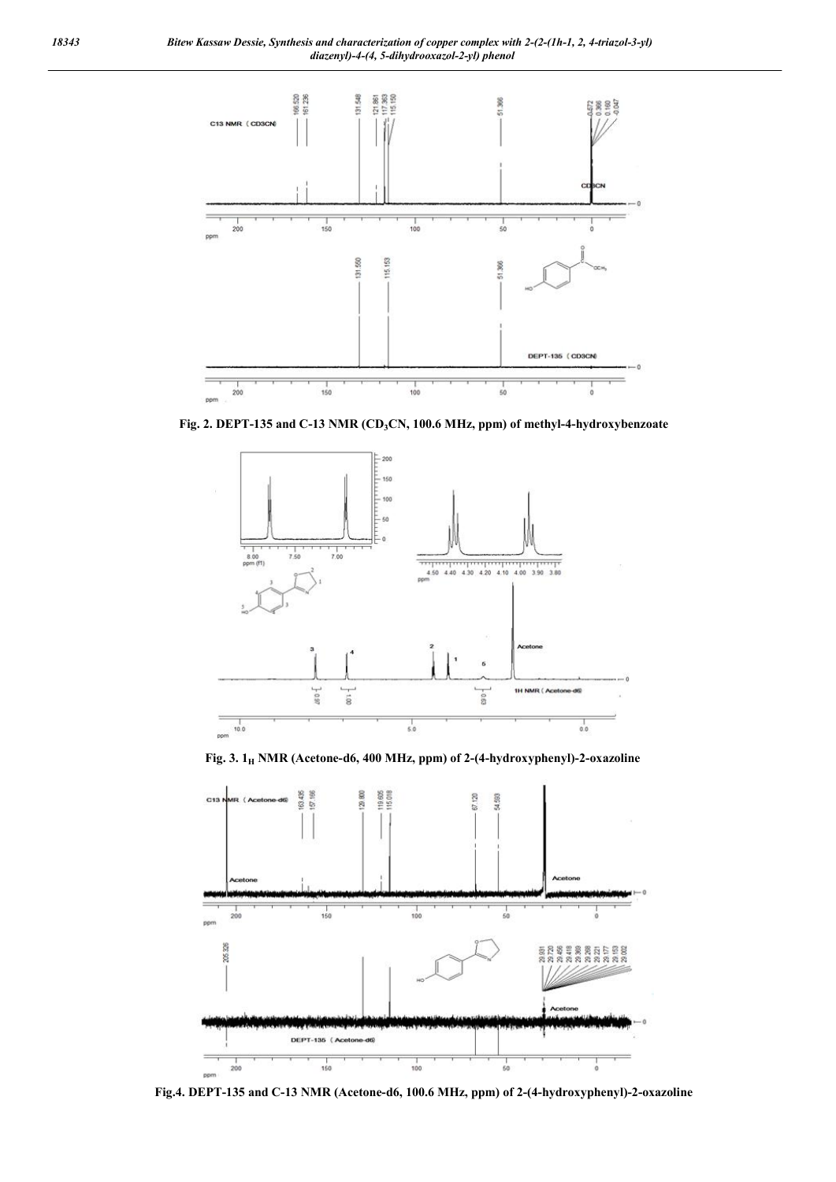

Fig. 2. DEPT-135 and C-13 NMR (CD<sub>3</sub>CN, 100.6 MHz, ppm) of methyl-4-hydroxybenzoate



Fig. 3.  $1_H$  NMR (Acetone-d6, 400 MHz, ppm) of 2-(4-hydroxyphenyl)-2-oxazoline



Fig.4. DEPT-135 and C-13 NMR (Acetone-d6, 100.6 MHz, ppm) of 2-(4-hydroxyphenyl)-2-oxazoline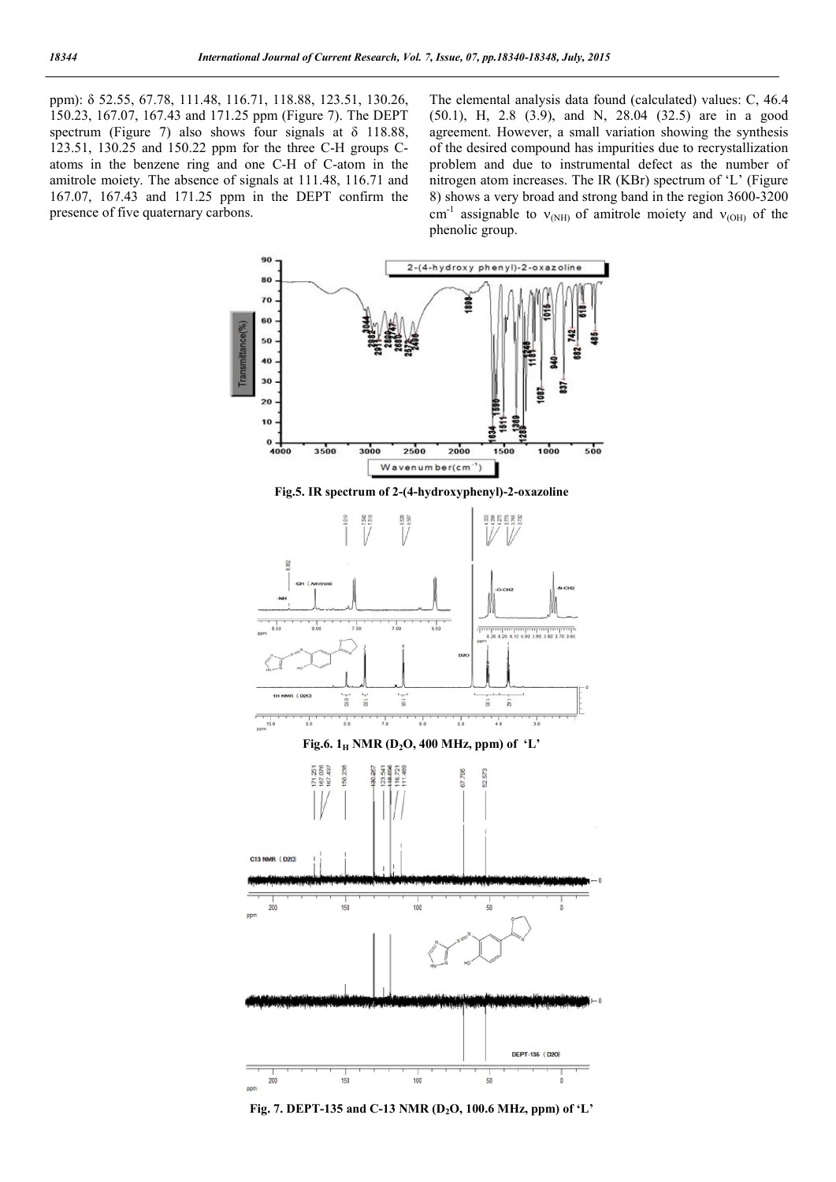ppm): δ 52.55, 67.78, 111.48, 116.71, 118.88, 123.51, 130.26, 150.23, 167.07, 167.43 and 171.25 ppm (Figure 7). The DEPT spectrum (Figure 7) also shows four signals at δ 118.88, 123.51, 130.25 and 150.22 ppm for the three C-H groups Catoms in the benzene ring and one C-H of C-atom in the amitrole moiety. The absence of signals at 111.48, 116.71 and 167.07, 167.43 and 171.25 ppm in the DEPT confirm the presence of five quaternary carbons.

The elemental analysis data found (calculated) values: C, 46.4 (50.1), H, 2.8 (3.9), and N, 28.04 (32.5) are in a good agreement. However, a small variation showing the synthesis of the desired compound has impurities due to recrystallization problem and due to instrumental defect as the number of nitrogen atom increases. The IR (KBr) spectrum of 'L' (Figure 8) shows a very broad and strong band in the region 3600-3200 cm<sup>-1</sup> assignable to  $v_{(NH)}$  of amitrole moiety and  $v_{(OH)}$  of the phenolic group.



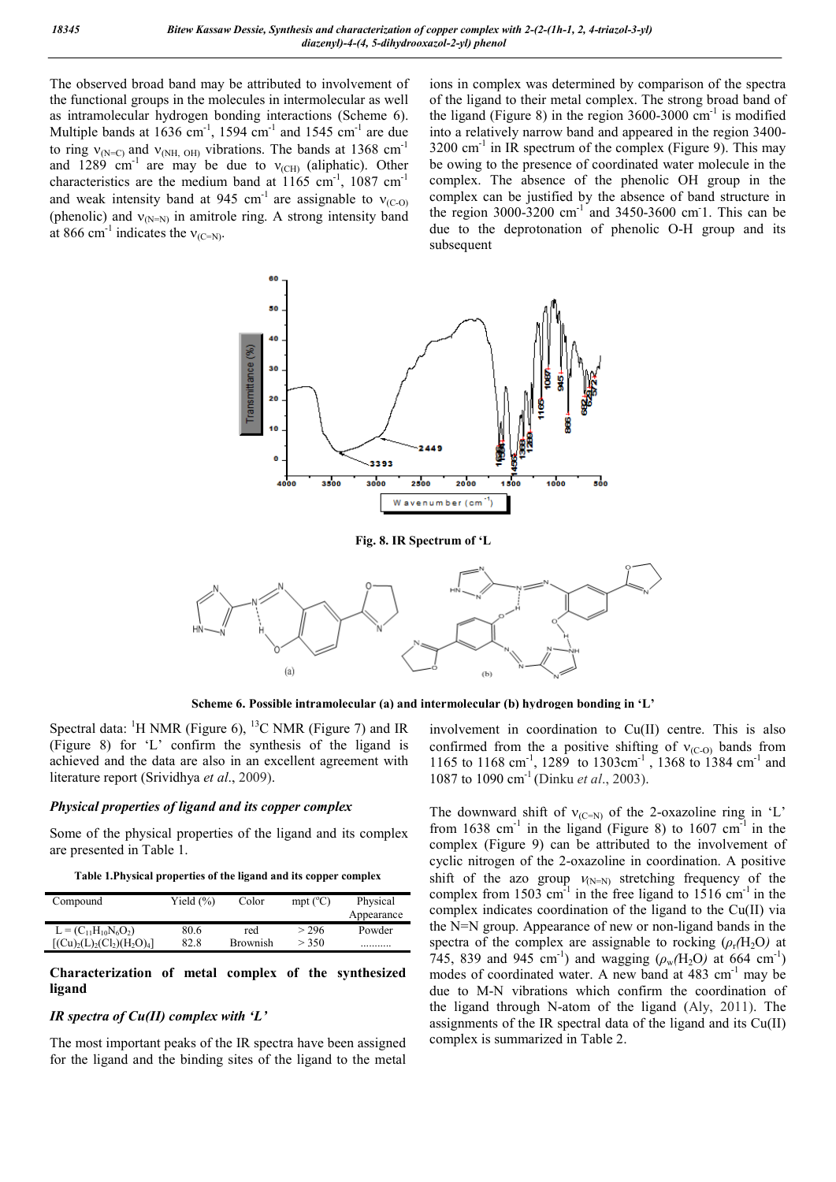The observed broad band may be attributed to involvement of the functional groups in the molecules in intermolecular as well as intramolecular hydrogen bonding interactions (Scheme 6). Multiple bands at  $1636$  cm<sup>-1</sup>, 1594 cm<sup>-1</sup> and 1545 cm<sup>-1</sup> are due to ring  $v_{N=C}$  and  $v_{NH, OH}$  o<sub>H)</sub> vibrations. The bands at 1368 cm<sup>-1</sup> and  $1289 \text{ cm}^{-1}$  are may be due to  $v_{\text{(CH)}}$  (aliphatic). Other characteristics are the medium band at  $1165 \text{ cm}^{-1}$ , 1087 cm<sup>-1</sup> and weak intensity band at 945 cm<sup>-1</sup> are assignable to  $v_{(C-0)}$ (phenolic) and  $v_{(N=N)}$  in amitrole ring. A strong intensity band at 866 cm<sup>-1</sup> indicates the  $v_{(C=N)}$ .

ions in complex was determined by comparison of the spectra of the ligand to their metal complex. The strong broad band of the ligand (Figure 8) in the region  $3600-3000$  cm<sup>-1</sup> is modified into a relatively narrow band and appeared in the region 3400-  $3200 \text{ cm}^{-1}$  in IR spectrum of the complex (Figure 9). This may be owing to the presence of coordinated water molecule in the complex. The absence of the phenolic OH group in the complex can be justified by the absence of band structure in the region  $3000-3200$  cm<sup>-1</sup> and  $3450-3600$  cm<sup>-1</sup>. This can be due to the deprotonation of phenolic O-H group and its subsequent



Scheme 6. Possible intramolecular (a) and intermolecular (b) hydrogen bonding in 'L'

Spectral data:  ${}^{1}$ H NMR (Figure 6),  ${}^{13}$ C NMR (Figure 7) and IR (Figure 8) for 'L' confirm the synthesis of the ligand is achieved and the data are also in an excellent agreement with literature report (Srividhya *et al*., 2009).

# *Physical properties of ligand and its copper complex*

Some of the physical properties of the ligand and its complex are presented in Table 1.

| Table 1. Physical properties of the ligand and its copper complex |  |  |
|-------------------------------------------------------------------|--|--|
|-------------------------------------------------------------------|--|--|

| Compound                   | Yield $(\% )$ | Color    | mpt $(^{\circ}C)$ | Physical<br>Appearance |
|----------------------------|---------------|----------|-------------------|------------------------|
| $L = (C_{11}H_{10}N_6O_2)$ | 80.6          | red      | $>$ 296           | Powder                 |
| $[(Cu)2(L)2(Cl2)(H2O)4]$   | 82.8          | Brownish | > 350             | .                      |

# Characterization of metal complex of the synthesized ligand

## *IR spectra of Cu(II) complex with 'L'*

The most important peaks of the IR spectra have been assigned for the ligand and the binding sites of the ligand to the metal involvement in coordination to Cu(II) centre. This is also confirmed from the a positive shifting of  $v_{(C-0)}$  bands from 1165 to 1168 cm<sup>-1</sup>, 1289 to 1303cm<sup>-1</sup>, 1368 to 1384 cm<sup>-1</sup> and 1087 to 1090 cm-1 (Dinku *et al*., 2003).

The downward shift of  $v_{(C=N)}$  of the 2-oxazoline ring in 'L' from  $1638 \text{ cm}^{-1}$  in the ligand (Figure 8) to  $1607 \text{ cm}^{-1}$  in the complex (Figure 9) can be attributed to the involvement of cyclic nitrogen of the 2-oxazoline in coordination. A positive shift of the azo group  $V_{(N=N)}$  stretching frequency of the complex from 1503 cm<sup>-1</sup> in the free ligand to 1516 cm<sup>-1</sup> in the complex indicates coordination of the ligand to the Cu(II) via the N=N group. Appearance of new or non-ligand bands in the spectra of the complex are assignable to rocking  $(\rho_r(H_2O))$  at 745, 839 and 945 cm<sup>-1</sup>) and wagging  $(\rho_w(H_2O))$  at 664 cm<sup>-1</sup>) modes of coordinated water. A new band at 483 cm<sup>-1</sup> may be due to M-N vibrations which confirm the coordination of the ligand through N-atom of the ligand (Aly, 2011). The assignments of the IR spectral data of the ligand and its Cu(II) complex is summarized in Table 2.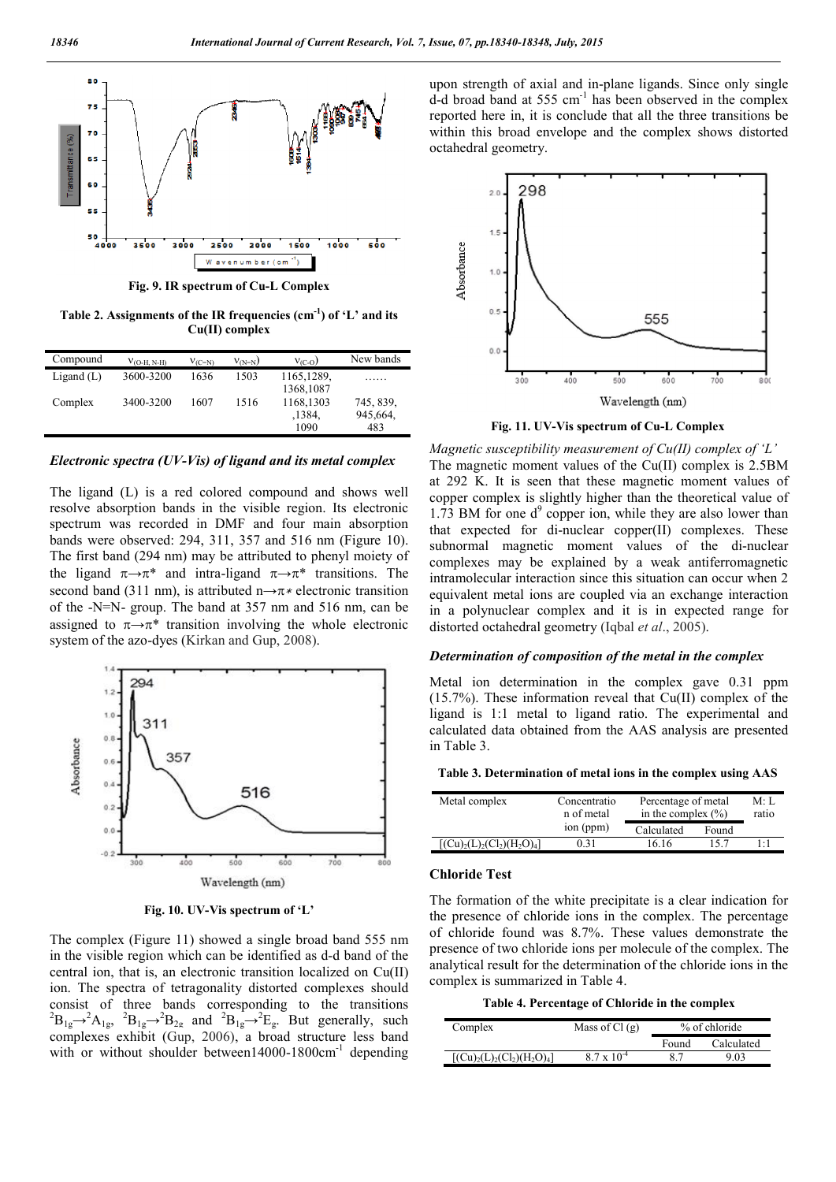

Fig. 9. IR spectrum of Cu-L Complex

Table 2. Assignments of the IR frequencies  $(cm<sup>-1</sup>)$  of 'L' and its Cu(II) complex

| Compound     | $V_{\text{(O-H, N-H)}}$ | $V_{(C=N)}$ | $v_{(N=N)}$ | $V_{(C-O)}$                 | New bands                    |
|--------------|-------------------------|-------------|-------------|-----------------------------|------------------------------|
| Ligand $(L)$ | 3600-3200               | 1636        | 1503        | 1165,1289,<br>1368,1087     |                              |
| Complex      | 3400-3200               | 1607        | 1516        | 1168,1303<br>,1384.<br>1090 | 745, 839,<br>945,664.<br>483 |

*Electronic spectra (UV-Vis) of ligand and its metal complex*

The ligand (L) is a red colored compound and shows well resolve absorption bands in the visible region. Its electronic spectrum was recorded in DMF and four main absorption bands were observed: 294, 311, 357 and 516 nm (Figure 10). The first band (294 nm) may be attributed to phenyl moiety of the ligand  $\pi \rightarrow \pi^*$  and intra-ligand  $\pi \rightarrow \pi^*$  transitions. The second band (311 nm), is attributed n→π<sup>\*</sup> electronic transition of the -N=N- group. The band at 357 nm and 516 nm, can be assigned to  $\pi \rightarrow \pi^*$  transition involving the whole electronic system of the azo-dyes (Kirkan and Gup, 2008).



Fig. 10. UV-Vis spectrum of 'L'

The complex (Figure 11) showed a single broad band 555 nm in the visible region which can be identified as d-d band of the central ion, that is, an electronic transition localized on Cu(II) ion. The spectra of tetragonality distorted complexes should consist of three bands corresponding to the transitions  ${}^{2}B_{1g} \rightarrow {}^{2}A_{1g}$ ,  ${}^{2}B_{1g} \rightarrow {}^{2}B_{2g}$  and  ${}^{2}B_{1g} \rightarrow {}^{2}E_{g}$ . But generally, such complexes exhibit (Gup, 2006), a broad structure less band with or without shoulder between14000-1800 $cm^{-1}$  depending

upon strength of axial and in-plane ligands. Since only single d-d broad band at 555 cm-1 has been observed in the complex reported here in, it is conclude that all the three transitions be within this broad envelope and the complex shows distorted octahedral geometry.



Fig. 11. UV-Vis spectrum of Cu-L Complex

*Magnetic susceptibility measurement of Cu(II) complex of 'L'* The magnetic moment values of the Cu(II) complex is 2.5BM at 292 K. It is seen that these magnetic moment values of copper complex is slightly higher than the theoretical value of 1.73 BM for one  $d^9$  copper ion, while they are also lower than that expected for di-nuclear copper(II) complexes. These subnormal magnetic moment values of the di-nuclear complexes may be explained by a weak antiferromagnetic intramolecular interaction since this situation can occur when 2 equivalent metal ions are coupled via an exchange interaction in a polynuclear complex and it is in expected range for distorted octahedral geometry (Iqbal *et al*., 2005).

### *Determination of composition of the metal in the complex*

Metal ion determination in the complex gave 0.31 ppm (15.7%). These information reveal that Cu(II) complex of the ligand is 1:1 metal to ligand ratio. The experimental and calculated data obtained from the AAS analysis are presented in Table 3.

|  | Table 3. Determination of metal ions in the complex using AAS |  |  |
|--|---------------------------------------------------------------|--|--|
|  |                                                               |  |  |

| Metal complex            | Concentratio<br>n of metal | Percentage of metal<br>in the complex $(\% )$ |       | M: L<br>ratio |
|--------------------------|----------------------------|-----------------------------------------------|-------|---------------|
|                          | ion (ppm)                  | Calculated                                    | Found |               |
| $[(Cu)2(L)2(Cl2)(H2O)4]$ | 0.31                       | 16.16                                         | 157   | $1 \cdot 1$   |

#### Chloride Test

The formation of the white precipitate is a clear indication for the presence of chloride ions in the complex. The percentage of chloride found was 8.7%. These values demonstrate the presence of two chloride ions per molecule of the complex. The analytical result for the determination of the chloride ions in the complex is summarized in Table 4.

Table 4. Percentage of Chloride in the complex

| Complex                  | Mass of $Cl(g)$      | % of chloride |            |
|--------------------------|----------------------|---------------|------------|
|                          |                      | Found         | Calculated |
| $[(Cu)2(L)2(Cl2)(H2O)4]$ | $8.7 \times 10^{-4}$ | 87            | 9.03       |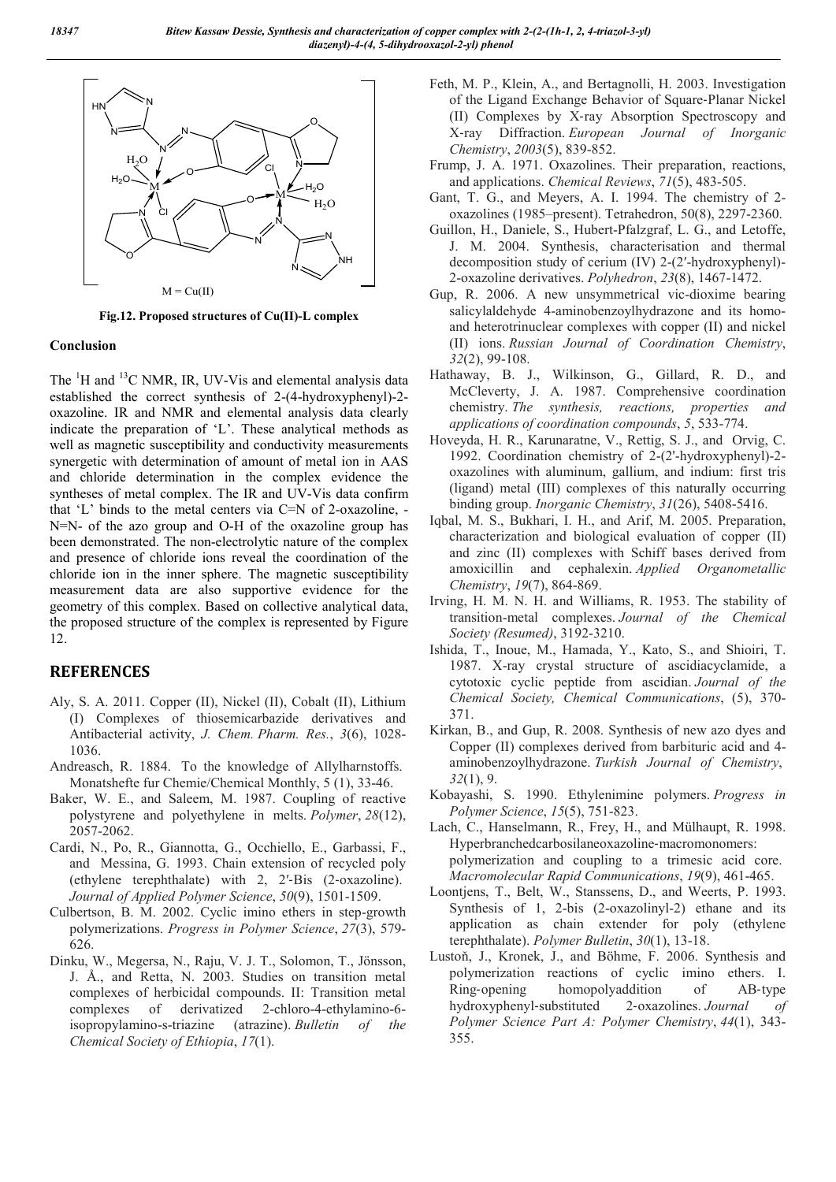

Fig.12. Proposed structures of Cu(II)-L complex

# Conclusion

The  ${}^{1}$ H and  ${}^{13}$ C NMR, IR, UV-Vis and elemental analysis data established the correct synthesis of 2-(4-hydroxyphenyl)-2 oxazoline. IR and NMR and elemental analysis data clearly indicate the preparation of 'L'. These analytical methods as well as magnetic susceptibility and conductivity measurements synergetic with determination of amount of metal ion in AAS and chloride determination in the complex evidence the syntheses of metal complex. The IR and UV-Vis data confirm that 'L' binds to the metal centers via C=N of 2-oxazoline, - N=N- of the azo group and O-H of the oxazoline group has been demonstrated. The non-electrolytic nature of the complex and presence of chloride ions reveal the coordination of the chloride ion in the inner sphere. The magnetic susceptibility measurement data are also supportive evidence for the geometry of this complex. Based on collective analytical data, the proposed structure of the complex is represented by Figure 12.

# **REFERENCES**

- Aly, S. A. 2011. Copper (II), Nickel (II), Cobalt (II), Lithium (I) Complexes of thiosemicarbazide derivatives and Antibacterial activity, *J. Chem. Pharm. Res.*, *3*(6), 1028- 1036.
- Andreasch, R. 1884. To the knowledge of Allylharnstoffs. Monatshefte fur Chemie/Chemical Monthly, 5 (1), 33-46.
- Baker, W. E., and Saleem, M. 1987. Coupling of reactive polystyrene and polyethylene in melts. *Polymer*, *28*(12), 2057-2062.
- Cardi, N., Po, R., Giannotta, G., Occhiello, E., Garbassi, F., and Messina, G. 1993. Chain extension of recycled poly (ethylene terephthalate) with 2, 2′‐Bis (2‐oxazoline). *Journal of Applied Polymer Science*, *50*(9), 1501-1509.
- Culbertson, B. M. 2002. Cyclic imino ethers in step-growth polymerizations. *Progress in Polymer Science*, *27*(3), 579- 626.
- Dinku, W., Megersa, N., Raju, V. J. T., Solomon, T., Jönsson, J. Å., and Retta, N. 2003. Studies on transition metal complexes of herbicidal compounds. II: Transition metal complexes of derivatized 2-chloro-4-ethylamino-6 isopropylamino-s-triazine (atrazine). *Bulletin of the Chemical Society of Ethiopia*, *17*(1).
- Feth, M. P., Klein, A., and Bertagnolli, H. 2003. Investigation of the Ligand Exchange Behavior of Square‐Planar Nickel (II) Complexes by X‐ray Absorption Spectroscopy and X‐ray Diffraction. *European Journal of Inorganic Chemistry*, *2003*(5), 839-852.
- Frump, J. A. 1971. Oxazolines. Their preparation, reactions, and applications. *Chemical Reviews*, *71*(5), 483-505.
- Gant, T. G., and Meyers, A. I. 1994. The chemistry of 2 oxazolines (1985–present). Tetrahedron, 50(8), 2297-2360.
- Guillon, H., Daniele, S., Hubert-Pfalzgraf, L. G., and Letoffe, J. M. 2004. Synthesis, characterisation and thermal decomposition study of cerium (IV) 2-(2′-hydroxyphenyl)- 2-oxazoline derivatives. *Polyhedron*, *23*(8), 1467-1472.
- Gup, R. 2006. A new unsymmetrical vic-dioxime bearing salicylaldehyde 4-aminobenzoylhydrazone and its homoand heterotrinuclear complexes with copper (II) and nickel (II) ions. *Russian Journal of Coordination Chemistry*, *32*(2), 99-108.
- Hathaway, B. J., Wilkinson, G., Gillard, R. D., and McCleverty, J. A. 1987. Comprehensive coordination chemistry. *The synthesis, reactions, properties and applications of coordination compounds*, *5*, 533-774.
- Hoveyda, H. R., Karunaratne, V., Rettig, S. J., and Orvig, C. 1992. Coordination chemistry of 2-(2'-hydroxyphenyl)-2 oxazolines with aluminum, gallium, and indium: first tris (ligand) metal (III) complexes of this naturally occurring binding group. *Inorganic Chemistry*, *31*(26), 5408-5416.
- Iqbal, M. S., Bukhari, I. H., and Arif, M. 2005. Preparation, characterization and biological evaluation of copper (II) and zinc (II) complexes with Schiff bases derived from amoxicillin and cephalexin. *Applied Organometallic Chemistry*, *19*(7), 864-869.
- Irving, H. M. N. H. and Williams, R. 1953. The stability of transition-metal complexes. *Journal of the Chemical Society (Resumed)*, 3192-3210.
- Ishida, T., Inoue, M., Hamada, Y., Kato, S., and Shioiri, T. 1987. X-ray crystal structure of ascidiacyclamide, a cytotoxic cyclic peptide from ascidian. *Journal of the Chemical Society, Chemical Communications*, (5), 370- 371.
- Kirkan, B., and Gup, R. 2008. Synthesis of new azo dyes and Copper (II) complexes derived from barbituric acid and 4 aminobenzoylhydrazone. *Turkish Journal of Chemistry*, *32*(1), 9.
- Kobayashi, S. 1990. Ethylenimine polymers. *Progress in Polymer Science*, *15*(5), 751-823.

Lach, C., Hanselmann, R., Frey, H., and Mülhaupt, R. 1998. Hyperbranchedcarbosilaneoxazoline‐macromonomers: polymerization and coupling to a trimesic acid core. *Macromolecular Rapid Communications*, *19*(9), 461-465.

- Loontjens, T., Belt, W., Stanssens, D., and Weerts, P. 1993. Synthesis of 1, 2-bis (2-oxazolinyl-2) ethane and its application as chain extender for poly (ethylene terephthalate). *Polymer Bulletin*, *30*(1), 13-18.
- Lustoň, J., Kronek, J., and Böhme, F. 2006. Synthesis and polymerization reactions of cyclic imino ethers. I. Ring-opening homopolyaddition of AB-type hydroxyphenyl‐substituted 2‐oxazolines. *Journal of Polymer Science Part A: Polymer Chemistry*, *44*(1), 343- 355.